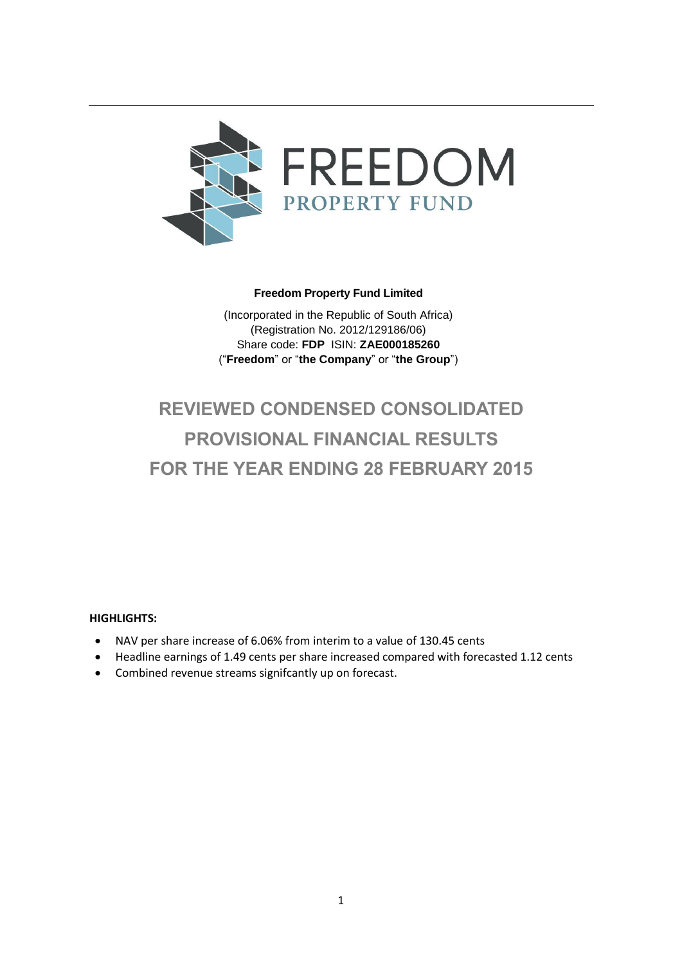

# **Freedom Property Fund Limited**

(Incorporated in the Republic of South Africa) (Registration No. 2012/129186/06) Share code: **FDP** ISIN: **ZAE000185260** ("**Freedom**" or "**the Company**" or "**the Group**")

# **REVIEWED CONDENSED CONSOLIDATED PROVISIONAL FINANCIAL RESULTS FOR THE YEAR ENDING 28 FEBRUARY 2015**

# **HIGHLIGHTS:**

- NAV per share increase of 6.06% from interim to a value of 130.45 cents
- Headline earnings of 1.49 cents per share increased compared with forecasted 1.12 cents
- Combined revenue streams signifcantly up on forecast.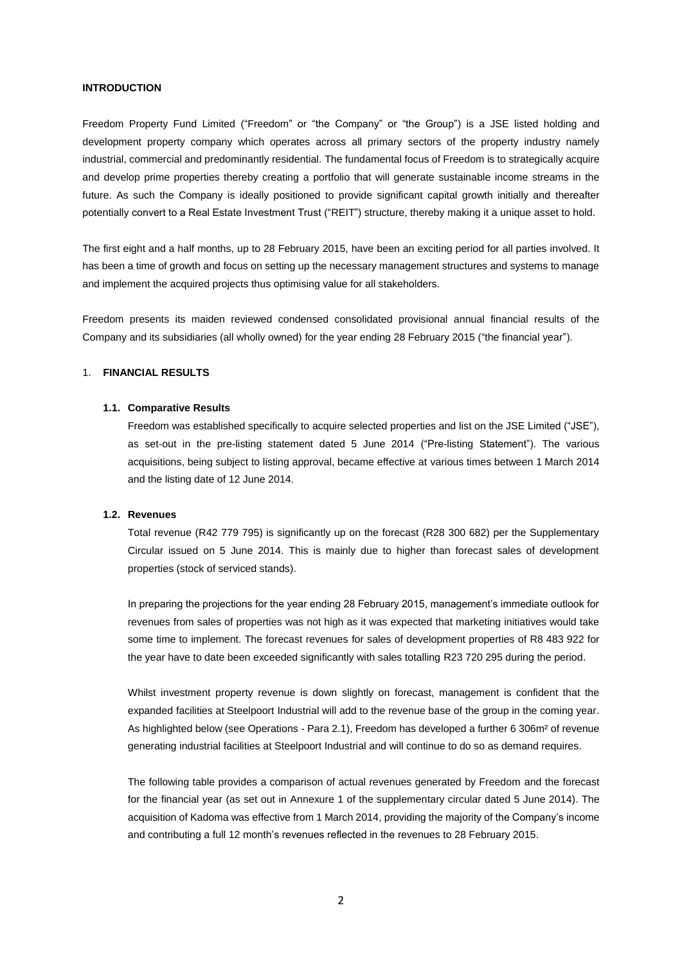#### **INTRODUCTION**

Freedom Property Fund Limited ("Freedom" or "the Company" or "the Group") is a JSE listed holding and development property company which operates across all primary sectors of the property industry namely industrial, commercial and predominantly residential. The fundamental focus of Freedom is to strategically acquire and develop prime properties thereby creating a portfolio that will generate sustainable income streams in the future. As such the Company is ideally positioned to provide significant capital growth initially and thereafter potentially convert to a Real Estate Investment Trust ("REIT") structure, thereby making it a unique asset to hold.

The first eight and a half months, up to 28 February 2015, have been an exciting period for all parties involved. It has been a time of growth and focus on setting up the necessary management structures and systems to manage and implement the acquired projects thus optimising value for all stakeholders.

Freedom presents its maiden reviewed condensed consolidated provisional annual financial results of the Company and its subsidiaries (all wholly owned) for the year ending 28 February 2015 ("the financial year").

# 1. **FINANCIAL RESULTS**

#### **1.1. Comparative Results**

Freedom was established specifically to acquire selected properties and list on the JSE Limited ("JSE"), as set-out in the pre-listing statement dated 5 June 2014 ("Pre-listing Statement"). The various acquisitions, being subject to listing approval, became effective at various times between 1 March 2014 and the listing date of 12 June 2014.

#### **1.2. Revenues**

Total revenue (R42 779 795) is significantly up on the forecast (R28 300 682) per the Supplementary Circular issued on 5 June 2014. This is mainly due to higher than forecast sales of development properties (stock of serviced stands).

In preparing the projections for the year ending 28 February 2015, management's immediate outlook for revenues from sales of properties was not high as it was expected that marketing initiatives would take some time to implement. The forecast revenues for sales of development properties of R8 483 922 for the year have to date been exceeded significantly with sales totalling R23 720 295 during the period.

Whilst investment property revenue is down slightly on forecast, management is confident that the expanded facilities at Steelpoort Industrial will add to the revenue base of the group in the coming year. As highlighted below (see Operations - Para 2.1), Freedom has developed a further 6 306m² of revenue generating industrial facilities at Steelpoort Industrial and will continue to do so as demand requires.

The following table provides a comparison of actual revenues generated by Freedom and the forecast for the financial year (as set out in Annexure 1 of the supplementary circular dated 5 June 2014). The acquisition of Kadoma was effective from 1 March 2014, providing the majority of the Company's income and contributing a full 12 month's revenues reflected in the revenues to 28 February 2015.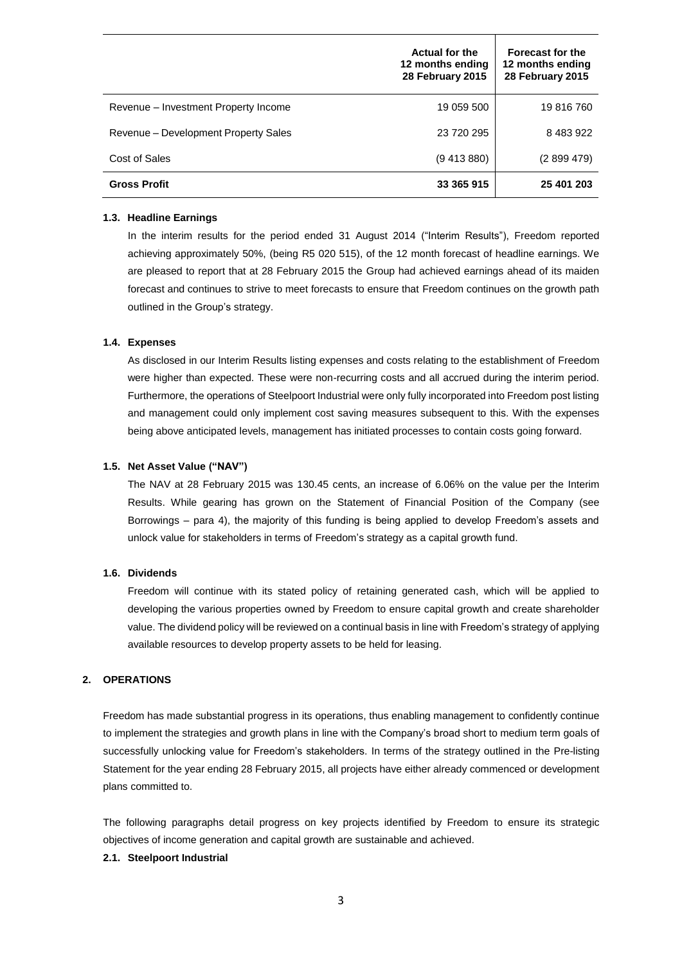|                                      | <b>Actual for the</b><br>12 months ending<br>28 February 2015 | <b>Forecast for the</b><br>12 months ending<br>28 February 2015 |
|--------------------------------------|---------------------------------------------------------------|-----------------------------------------------------------------|
| Revenue – Investment Property Income | 19 059 500                                                    | 19 816 760                                                      |
| Revenue – Development Property Sales | 23 720 295                                                    | 8 483 922                                                       |
| Cost of Sales                        | (9, 413, 880)                                                 | (2899479)                                                       |
| <b>Gross Profit</b>                  | 33 365 915                                                    | 25 401 203                                                      |

#### **1.3. Headline Earnings**

In the interim results for the period ended 31 August 2014 ("Interim Results"), Freedom reported achieving approximately 50%, (being R5 020 515), of the 12 month forecast of headline earnings. We are pleased to report that at 28 February 2015 the Group had achieved earnings ahead of its maiden forecast and continues to strive to meet forecasts to ensure that Freedom continues on the growth path outlined in the Group's strategy.

#### **1.4. Expenses**

As disclosed in our Interim Results listing expenses and costs relating to the establishment of Freedom were higher than expected. These were non-recurring costs and all accrued during the interim period. Furthermore, the operations of Steelpoort Industrial were only fully incorporated into Freedom post listing and management could only implement cost saving measures subsequent to this. With the expenses being above anticipated levels, management has initiated processes to contain costs going forward.

#### **1.5. Net Asset Value ("NAV")**

The NAV at 28 February 2015 was 130.45 cents, an increase of 6.06% on the value per the Interim Results. While gearing has grown on the Statement of Financial Position of the Company (see Borrowings – para [4\)](#page-6-0), the majority of this funding is being applied to develop Freedom's assets and unlock value for stakeholders in terms of Freedom's strategy as a capital growth fund.

## **1.6. Dividends**

Freedom will continue with its stated policy of retaining generated cash, which will be applied to developing the various properties owned by Freedom to ensure capital growth and create shareholder value. The dividend policy will be reviewed on a continual basis in line with Freedom's strategy of applying available resources to develop property assets to be held for leasing.

## **2. OPERATIONS**

Freedom has made substantial progress in its operations, thus enabling management to confidently continue to implement the strategies and growth plans in line with the Company's broad short to medium term goals of successfully unlocking value for Freedom's stakeholders. In terms of the strategy outlined in the Pre-listing Statement for the year ending 28 February 2015, all projects have either already commenced or development plans committed to.

The following paragraphs detail progress on key projects identified by Freedom to ensure its strategic objectives of income generation and capital growth are sustainable and achieved.

# **2.1. Steelpoort Industrial**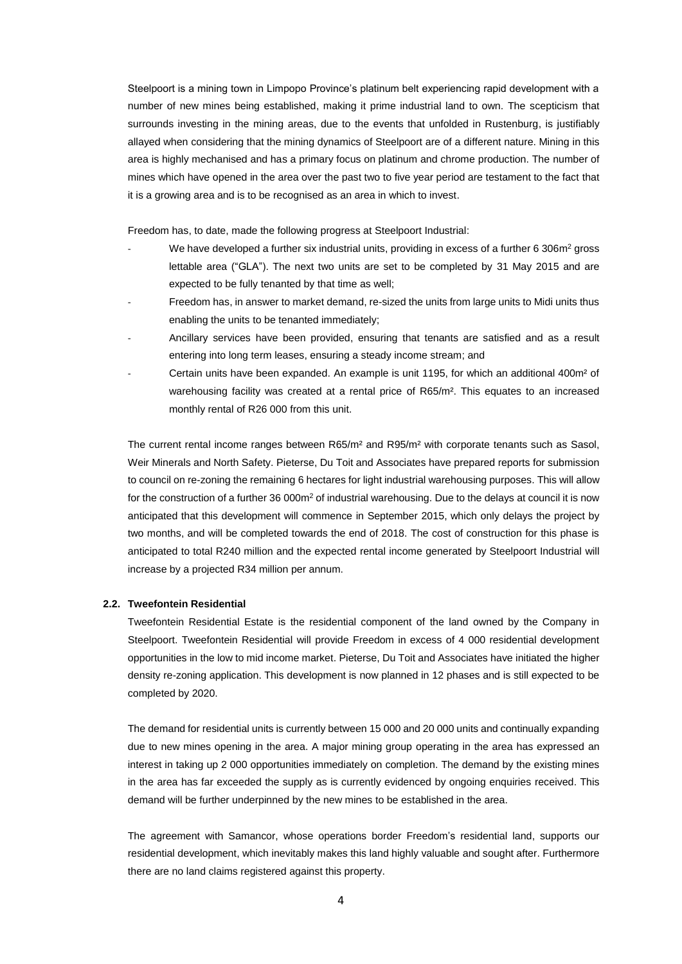Steelpoort is a mining town in Limpopo Province's platinum belt experiencing rapid development with a number of new mines being established, making it prime industrial land to own. The scepticism that surrounds investing in the mining areas, due to the events that unfolded in Rustenburg, is justifiably allayed when considering that the mining dynamics of Steelpoort are of a different nature. Mining in this area is highly mechanised and has a primary focus on platinum and chrome production. The number of mines which have opened in the area over the past two to five year period are testament to the fact that it is a growing area and is to be recognised as an area in which to invest.

Freedom has, to date, made the following progress at Steelpoort Industrial:

- We have developed a further six industrial units, providing in excess of a further 6 306m<sup>2</sup> gross lettable area ("GLA"). The next two units are set to be completed by 31 May 2015 and are expected to be fully tenanted by that time as well;
- Freedom has, in answer to market demand, re-sized the units from large units to Midi units thus enabling the units to be tenanted immediately;
- Ancillary services have been provided, ensuring that tenants are satisfied and as a result entering into long term leases, ensuring a steady income stream; and
- Certain units have been expanded. An example is unit 1195, for which an additional 400m<sup>2</sup> of warehousing facility was created at a rental price of R65/m². This equates to an increased monthly rental of R26 000 from this unit.

The current rental income ranges between R65/m² and R95/m² with corporate tenants such as Sasol, Weir Minerals and North Safety. Pieterse, Du Toit and Associates have prepared reports for submission to council on re-zoning the remaining 6 hectares for light industrial warehousing purposes. This will allow for the construction of a further 36 000m<sup>2</sup> of industrial warehousing. Due to the delays at council it is now anticipated that this development will commence in September 2015, which only delays the project by two months, and will be completed towards the end of 2018. The cost of construction for this phase is anticipated to total R240 million and the expected rental income generated by Steelpoort Industrial will increase by a projected R34 million per annum.

#### <span id="page-3-0"></span>**2.2. Tweefontein Residential**

Tweefontein Residential Estate is the residential component of the land owned by the Company in Steelpoort. Tweefontein Residential will provide Freedom in excess of 4 000 residential development opportunities in the low to mid income market. Pieterse, Du Toit and Associates have initiated the higher density re-zoning application. This development is now planned in 12 phases and is still expected to be completed by 2020.

The demand for residential units is currently between 15 000 and 20 000 units and continually expanding due to new mines opening in the area. A major mining group operating in the area has expressed an interest in taking up 2 000 opportunities immediately on completion. The demand by the existing mines in the area has far exceeded the supply as is currently evidenced by ongoing enquiries received. This demand will be further underpinned by the new mines to be established in the area.

The agreement with Samancor, whose operations border Freedom's residential land, supports our residential development, which inevitably makes this land highly valuable and sought after. Furthermore there are no land claims registered against this property.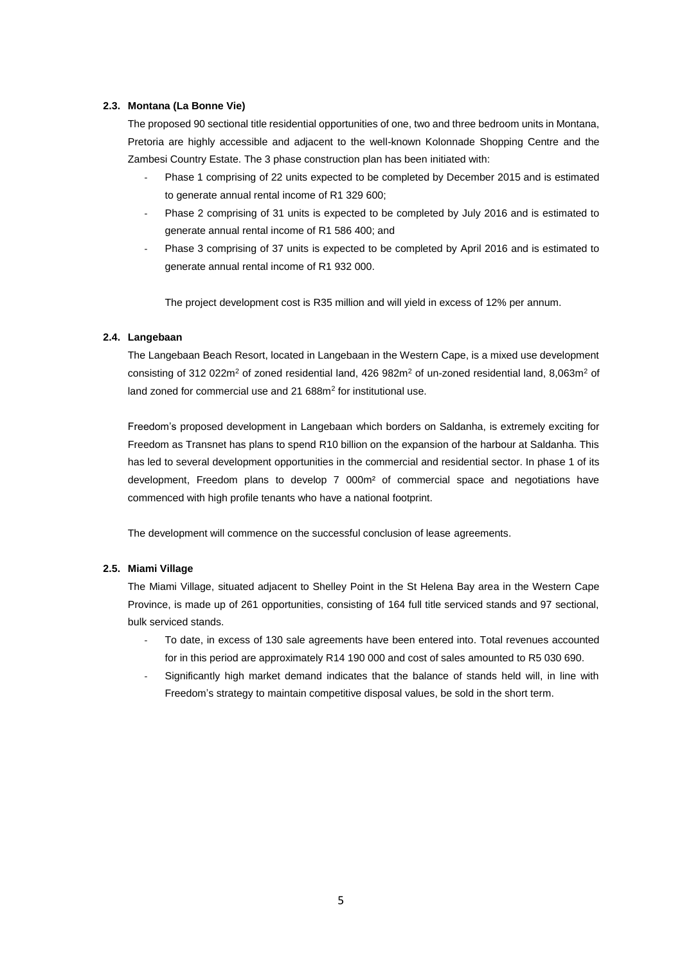## **2.3. Montana (La Bonne Vie)**

The proposed 90 sectional title residential opportunities of one, two and three bedroom units in Montana, Pretoria are highly accessible and adjacent to the well-known Kolonnade Shopping Centre and the Zambesi Country Estate. The 3 phase construction plan has been initiated with:

- Phase 1 comprising of 22 units expected to be completed by December 2015 and is estimated to generate annual rental income of R1 329 600;
- Phase 2 comprising of 31 units is expected to be completed by July 2016 and is estimated to generate annual rental income of R1 586 400; and
- Phase 3 comprising of 37 units is expected to be completed by April 2016 and is estimated to generate annual rental income of R1 932 000.

The project development cost is R35 million and will yield in excess of 12% per annum.

### <span id="page-4-0"></span>**2.4. Langebaan**

The Langebaan Beach Resort, located in Langebaan in the Western Cape, is a mixed use development consisting of 312 022m<sup>2</sup> of zoned residential land, 426 982m<sup>2</sup> of un-zoned residential land, 8,063m<sup>2</sup> of land zoned for commercial use and 21 688m<sup>2</sup> for institutional use.

Freedom's proposed development in Langebaan which borders on Saldanha, is extremely exciting for Freedom as Transnet has plans to spend R10 billion on the expansion of the harbour at Saldanha. This has led to several development opportunities in the commercial and residential sector. In phase 1 of its development, Freedom plans to develop 7 000m² of commercial space and negotiations have commenced with high profile tenants who have a national footprint.

The development will commence on the successful conclusion of lease agreements.

## <span id="page-4-1"></span>**2.5. Miami Village**

The Miami Village, situated adjacent to Shelley Point in the St Helena Bay area in the Western Cape Province, is made up of 261 opportunities, consisting of 164 full title serviced stands and 97 sectional, bulk serviced stands.

- To date, in excess of 130 sale agreements have been entered into. Total revenues accounted for in this period are approximately R14 190 000 and cost of sales amounted to R5 030 690.
- Significantly high market demand indicates that the balance of stands held will, in line with Freedom's strategy to maintain competitive disposal values, be sold in the short term.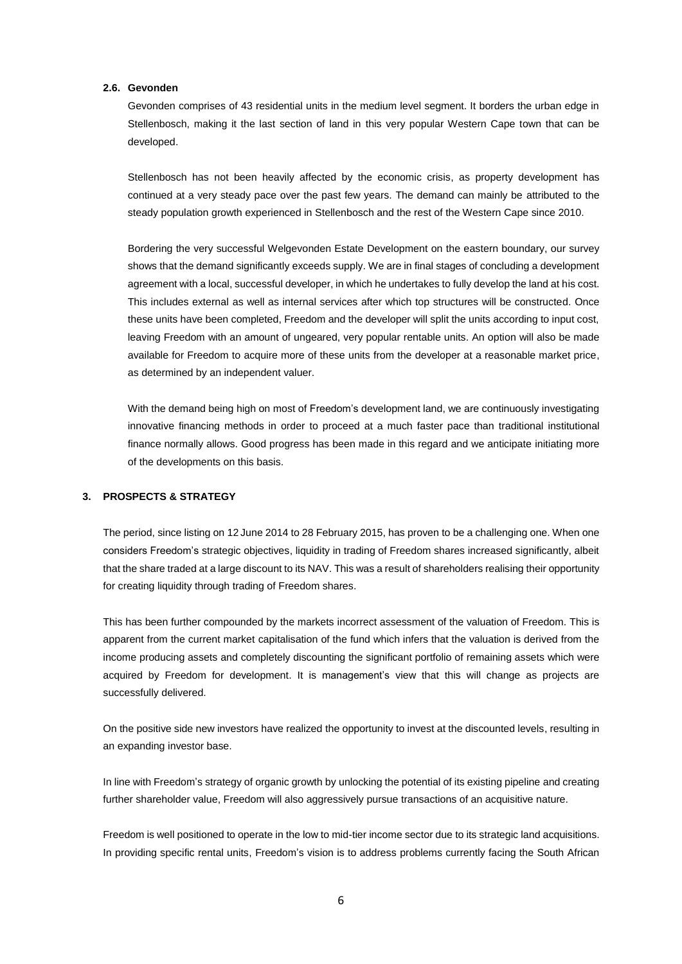#### **2.6. Gevonden**

Gevonden comprises of 43 residential units in the medium level segment. It borders the urban edge in Stellenbosch, making it the last section of land in this very popular Western Cape town that can be developed.

Stellenbosch has not been heavily affected by the economic crisis, as property development has continued at a very steady pace over the past few years. The demand can mainly be attributed to the steady population growth experienced in Stellenbosch and the rest of the Western Cape since 2010.

Bordering the very successful Welgevonden Estate Development on the eastern boundary, our survey shows that the demand significantly exceeds supply. We are in final stages of concluding a development agreement with a local, successful developer, in which he undertakes to fully develop the land at his cost. This includes external as well as internal services after which top structures will be constructed. Once these units have been completed, Freedom and the developer will split the units according to input cost, leaving Freedom with an amount of ungeared, very popular rentable units. An option will also be made available for Freedom to acquire more of these units from the developer at a reasonable market price, as determined by an independent valuer.

With the demand being high on most of Freedom's development land, we are continuously investigating innovative financing methods in order to proceed at a much faster pace than traditional institutional finance normally allows. Good progress has been made in this regard and we anticipate initiating more of the developments on this basis.

# **3. PROSPECTS & STRATEGY**

The period, since listing on 12 June 2014 to 28 February 2015, has proven to be a challenging one. When one considers Freedom's strategic objectives, liquidity in trading of Freedom shares increased significantly, albeit that the share traded at a large discount to its NAV. This was a result of shareholders realising their opportunity for creating liquidity through trading of Freedom shares.

This has been further compounded by the markets incorrect assessment of the valuation of Freedom. This is apparent from the current market capitalisation of the fund which infers that the valuation is derived from the income producing assets and completely discounting the significant portfolio of remaining assets which were acquired by Freedom for development. It is management's view that this will change as projects are successfully delivered.

On the positive side new investors have realized the opportunity to invest at the discounted levels, resulting in an expanding investor base.

In line with Freedom's strategy of organic growth by unlocking the potential of its existing pipeline and creating further shareholder value, Freedom will also aggressively pursue transactions of an acquisitive nature.

Freedom is well positioned to operate in the low to mid-tier income sector due to its strategic land acquisitions. In providing specific rental units, Freedom's vision is to address problems currently facing the South African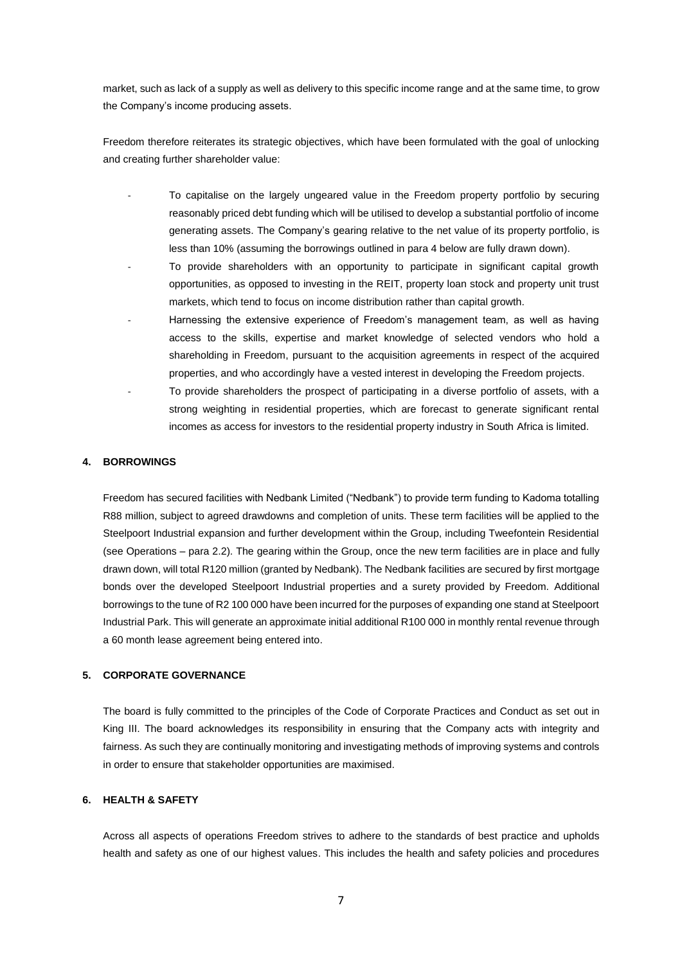market, such as lack of a supply as well as delivery to this specific income range and at the same time, to grow the Company's income producing assets.

Freedom therefore reiterates its strategic objectives, which have been formulated with the goal of unlocking and creating further shareholder value:

- To capitalise on the largely ungeared value in the Freedom property portfolio by securing reasonably priced debt funding which will be utilised to develop a substantial portfolio of income generating assets. The Company's gearing relative to the net value of its property portfolio, is less than 10% (assuming the borrowings outlined in para [4](#page-6-0) below are fully drawn down).
- To provide shareholders with an opportunity to participate in significant capital growth opportunities, as opposed to investing in the REIT, property loan stock and property unit trust markets, which tend to focus on income distribution rather than capital growth.
- Harnessing the extensive experience of Freedom's management team, as well as having access to the skills, expertise and market knowledge of selected vendors who hold a shareholding in Freedom, pursuant to the acquisition agreements in respect of the acquired properties, and who accordingly have a vested interest in developing the Freedom projects.
- To provide shareholders the prospect of participating in a diverse portfolio of assets, with a strong weighting in residential properties, which are forecast to generate significant rental incomes as access for investors to the residential property industry in South Africa is limited.

## <span id="page-6-0"></span>**4. BORROWINGS**

Freedom has secured facilities with Nedbank Limited ("Nedbank") to provide term funding to Kadoma totalling R88 million, subject to agreed drawdowns and completion of units. These term facilities will be applied to the Steelpoort Industrial expansion and further development within the Group, including Tweefontein Residential (see Operations – para [2.2\)](#page-3-0). The gearing within the Group, once the new term facilities are in place and fully drawn down, will total R120 million (granted by Nedbank). The Nedbank facilities are secured by first mortgage bonds over the developed Steelpoort Industrial properties and a surety provided by Freedom. Additional borrowings to the tune of R2 100 000 have been incurred for the purposes of expanding one stand at Steelpoort Industrial Park. This will generate an approximate initial additional R100 000 in monthly rental revenue through a 60 month lease agreement being entered into.

## **5. CORPORATE GOVERNANCE**

The board is fully committed to the principles of the Code of Corporate Practices and Conduct as set out in King III. The board acknowledges its responsibility in ensuring that the Company acts with integrity and fairness. As such they are continually monitoring and investigating methods of improving systems and controls in order to ensure that stakeholder opportunities are maximised.

# **6. HEALTH & SAFETY**

Across all aspects of operations Freedom strives to adhere to the standards of best practice and upholds health and safety as one of our highest values. This includes the health and safety policies and procedures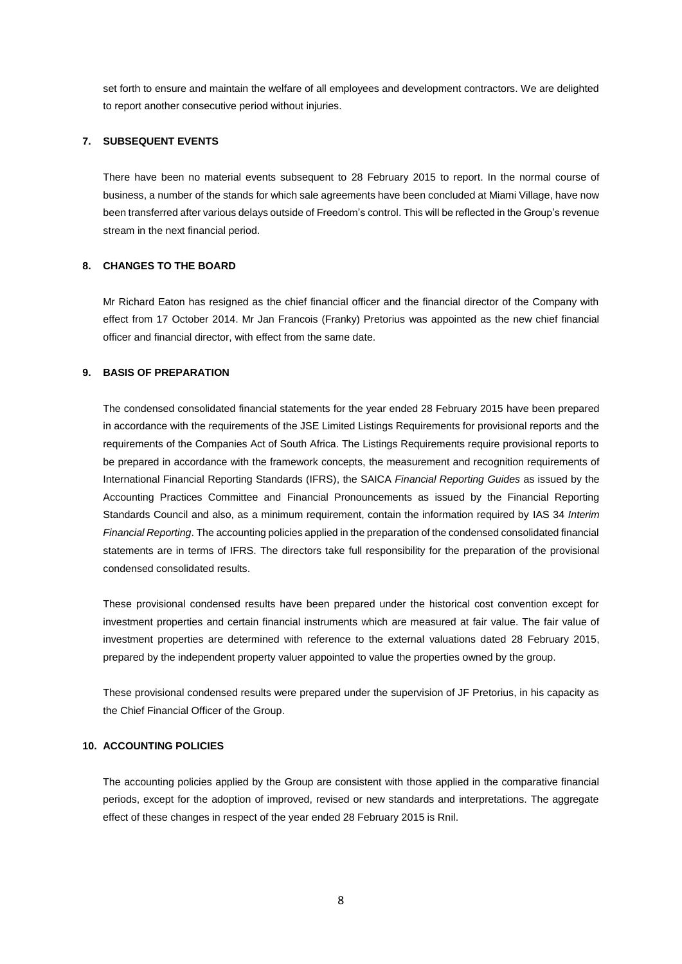set forth to ensure and maintain the welfare of all employees and development contractors. We are delighted to report another consecutive period without injuries.

### **7. SUBSEQUENT EVENTS**

There have been no material events subsequent to 28 February 2015 to report. In the normal course of business, a number of the stands for which sale agreements have been concluded at Miami Village, have now been transferred after various delays outside of Freedom's control. This will be reflected in the Group's revenue stream in the next financial period.

#### **8. CHANGES TO THE BOARD**

Mr Richard Eaton has resigned as the chief financial officer and the financial director of the Company with effect from 17 October 2014. Mr Jan Francois (Franky) Pretorius was appointed as the new chief financial officer and financial director, with effect from the same date.

## **9. BASIS OF PREPARATION**

The condensed consolidated financial statements for the year ended 28 February 2015 have been prepared in accordance with the requirements of the JSE Limited Listings Requirements for provisional reports and the requirements of the Companies Act of South Africa. The Listings Requirements require provisional reports to be prepared in accordance with the framework concepts, the measurement and recognition requirements of International Financial Reporting Standards (IFRS), the SAICA *Financial Reporting Guides* as issued by the Accounting Practices Committee and Financial Pronouncements as issued by the Financial Reporting Standards Council and also, as a minimum requirement, contain the information required by IAS 34 *Interim Financial Reporting*. The accounting policies applied in the preparation of the condensed consolidated financial statements are in terms of IFRS. The directors take full responsibility for the preparation of the provisional condensed consolidated results.

These provisional condensed results have been prepared under the historical cost convention except for investment properties and certain financial instruments which are measured at fair value. The fair value of investment properties are determined with reference to the external valuations dated 28 February 2015, prepared by the independent property valuer appointed to value the properties owned by the group.

These provisional condensed results were prepared under the supervision of JF Pretorius, in his capacity as the Chief Financial Officer of the Group.

#### **10. ACCOUNTING POLICIES**

The accounting policies applied by the Group are consistent with those applied in the comparative financial periods, except for the adoption of improved, revised or new standards and interpretations. The aggregate effect of these changes in respect of the year ended 28 February 2015 is Rnil.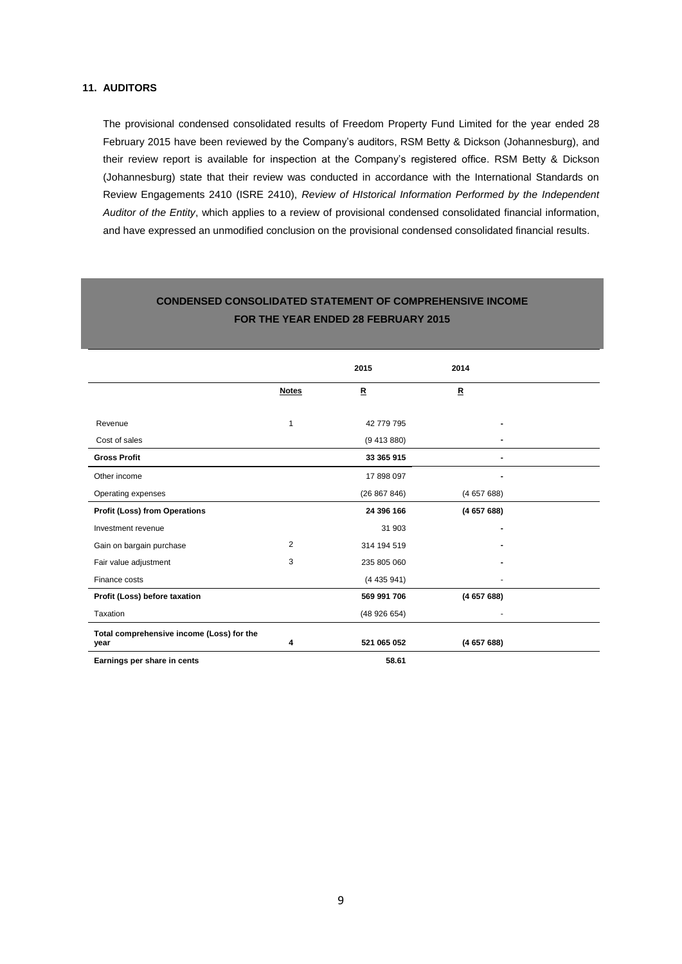# **11. AUDITORS**

The provisional condensed consolidated results of Freedom Property Fund Limited for the year ended 28 February 2015 have been reviewed by the Company's auditors, RSM Betty & Dickson (Johannesburg), and their review report is available for inspection at the Company's registered office. RSM Betty & Dickson (Johannesburg) state that their review was conducted in accordance with the International Standards on Review Engagements 2410 (ISRE 2410), *Review of HIstorical Information Performed by the Independent Auditor of the Entity*, which applies to a review of provisional condensed consolidated financial information, and have expressed an unmodified conclusion on the provisional condensed consolidated financial results.

|                                                   |              | 2015         | 2014        |  |
|---------------------------------------------------|--------------|--------------|-------------|--|
|                                                   | <b>Notes</b> | $\mathbf R$  | $\mathbf R$ |  |
|                                                   |              |              |             |  |
| Revenue                                           | 1            | 42 779 795   |             |  |
| Cost of sales                                     |              | (9413880)    |             |  |
| <b>Gross Profit</b>                               |              | 33 365 915   |             |  |
| Other income                                      |              | 17 898 097   |             |  |
| Operating expenses                                |              | (26 867 846) | (465768)    |  |
| <b>Profit (Loss) from Operations</b>              |              | 24 396 166   | (465768)    |  |
| Investment revenue                                |              | 31 903       |             |  |
| Gain on bargain purchase                          | 2            | 314 194 519  |             |  |
| Fair value adjustment                             | 3            | 235 805 060  |             |  |
| Finance costs                                     |              | (4435941)    |             |  |
| Profit (Loss) before taxation                     |              | 569 991 706  | (465768)    |  |
| Taxation                                          |              | (48926654)   |             |  |
| Total comprehensive income (Loss) for the<br>year | 4            | 521 065 052  | (465768)    |  |
| Earnings per share in cents                       |              | 58.61        |             |  |

# **CONDENSED CONSOLIDATED STATEMENT OF COMPREHENSIVE INCOME FOR THE YEAR ENDED 28 FEBRUARY 2015**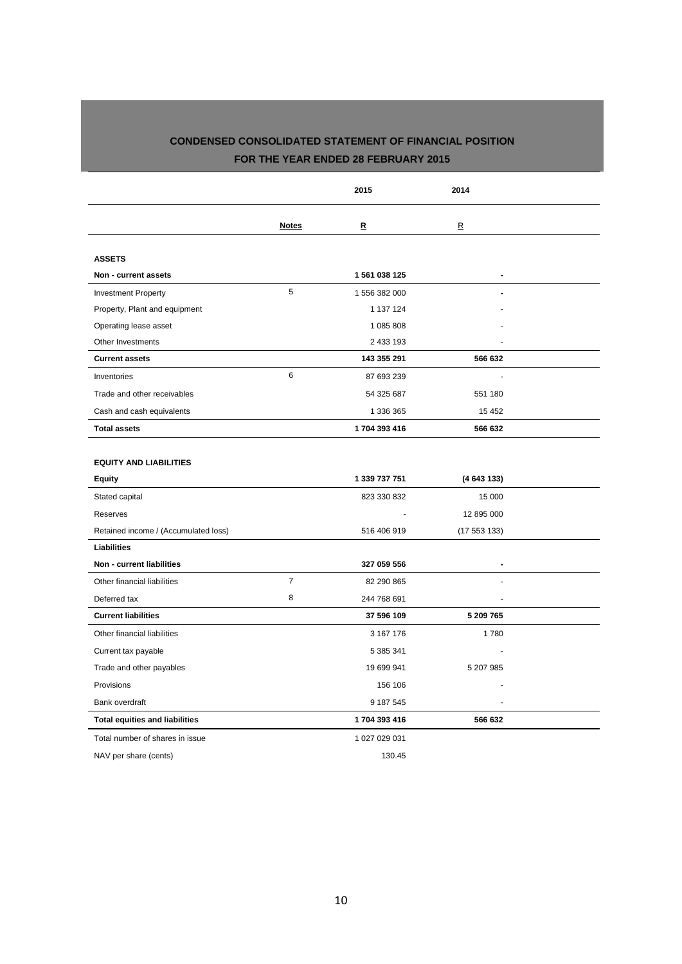# **CONDENSED CONSOLIDATED STATEMENT OF FINANCIAL POSITION FOR THE YEAR ENDED 28 FEBRUARY 2015**

|                                       |                | 2015          | 2014                    |  |
|---------------------------------------|----------------|---------------|-------------------------|--|
|                                       | <b>Notes</b>   | R             | $\overline{\mathbf{R}}$ |  |
| <b>ASSETS</b>                         |                |               |                         |  |
| Non - current assets                  |                | 1 561 038 125 | $\blacksquare$          |  |
| <b>Investment Property</b>            | 5              | 1 556 382 000 | $\overline{a}$          |  |
| Property, Plant and equipment         |                | 1 137 124     |                         |  |
| Operating lease asset                 |                | 1 085 808     |                         |  |
| Other Investments                     |                | 2 433 193     |                         |  |
| <b>Current assets</b>                 |                | 143 355 291   | 566 632                 |  |
| Inventories                           | 6              | 87 693 239    |                         |  |
| Trade and other receivables           |                | 54 325 687    | 551 180                 |  |
| Cash and cash equivalents             |                | 1 336 365     | 15 4 52                 |  |
| <b>Total assets</b>                   |                | 1704 393 416  | 566 632                 |  |
| <b>EQUITY AND LIABILITIES</b>         |                |               |                         |  |
| <b>Equity</b>                         |                | 1 339 737 751 | (4643133)               |  |
| Stated capital                        |                | 823 330 832   | 15 000                  |  |
| Reserves                              |                |               | 12 895 000              |  |
| Retained income / (Accumulated loss)  |                | 516 406 919   | (17553133)              |  |
| Liabilities                           |                |               |                         |  |
| Non - current liabilities             |                | 327 059 556   |                         |  |
| Other financial liabilities           | $\overline{7}$ | 82 290 865    |                         |  |
| Deferred tax                          | 8              | 244 768 691   |                         |  |
| <b>Current liabilities</b>            |                | 37 596 109    | 5 209 765               |  |
| Other financial liabilities           |                | 3 167 176     | 1780                    |  |
| Current tax payable                   |                | 5 385 341     |                         |  |
| Trade and other payables              |                | 19 699 941    | 5 207 985               |  |
| Provisions                            |                | 156 106       |                         |  |
| Bank overdraft                        |                | 9 187 545     |                         |  |
| <b>Total equities and liabilities</b> |                | 1704 393 416  | 566 632                 |  |
| Total number of shares in issue       |                | 1 027 029 031 |                         |  |
| NAV per share (cents)                 |                | 130.45        |                         |  |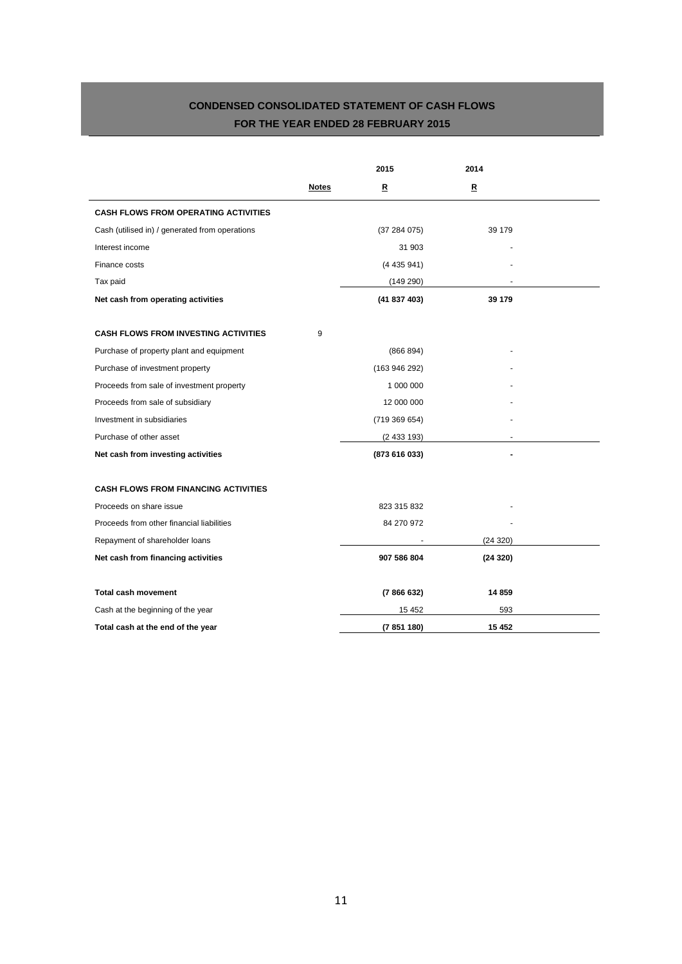# **CONDENSED CONSOLIDATED STATEMENT OF CASH FLOWS FOR THE YEAR ENDED 28 FEBRUARY 2015**

|                                                |              | 2015          | 2014        |  |
|------------------------------------------------|--------------|---------------|-------------|--|
|                                                | <b>Notes</b> | $\mathbf{R}$  | $\mathbf R$ |  |
| <b>CASH FLOWS FROM OPERATING ACTIVITIES</b>    |              |               |             |  |
| Cash (utilised in) / generated from operations |              | (37284075)    | 39 179      |  |
| Interest income                                |              | 31 903        |             |  |
| Finance costs                                  |              | (4435941)     |             |  |
| Tax paid                                       |              | (149 290)     |             |  |
| Net cash from operating activities             |              | (41837403)    | 39 179      |  |
| <b>CASH FLOWS FROM INVESTING ACTIVITIES</b>    | 9            |               |             |  |
| Purchase of property plant and equipment       |              | (866 894)     |             |  |
| Purchase of investment property                |              | (163946292)   |             |  |
| Proceeds from sale of investment property      |              | 1 000 000     |             |  |
| Proceeds from sale of subsidiary               |              | 12 000 000    |             |  |
| Investment in subsidiaries                     |              | (719369654)   |             |  |
| Purchase of other asset                        |              | (2433193)     |             |  |
| Net cash from investing activities             |              | (873 616 033) |             |  |
| <b>CASH FLOWS FROM FINANCING ACTIVITIES</b>    |              |               |             |  |
| Proceeds on share issue                        |              | 823 315 832   |             |  |
| Proceeds from other financial liabilities      |              | 84 270 972    |             |  |
| Repayment of shareholder loans                 |              |               | (24 320)    |  |
| Net cash from financing activities             |              | 907 586 804   | (24320)     |  |
| <b>Total cash movement</b>                     |              | (7866632)     | 14 859      |  |
| Cash at the beginning of the year              |              | 15 4 52       | 593         |  |
| Total cash at the end of the year              |              | (7 851 180)   | 15 452      |  |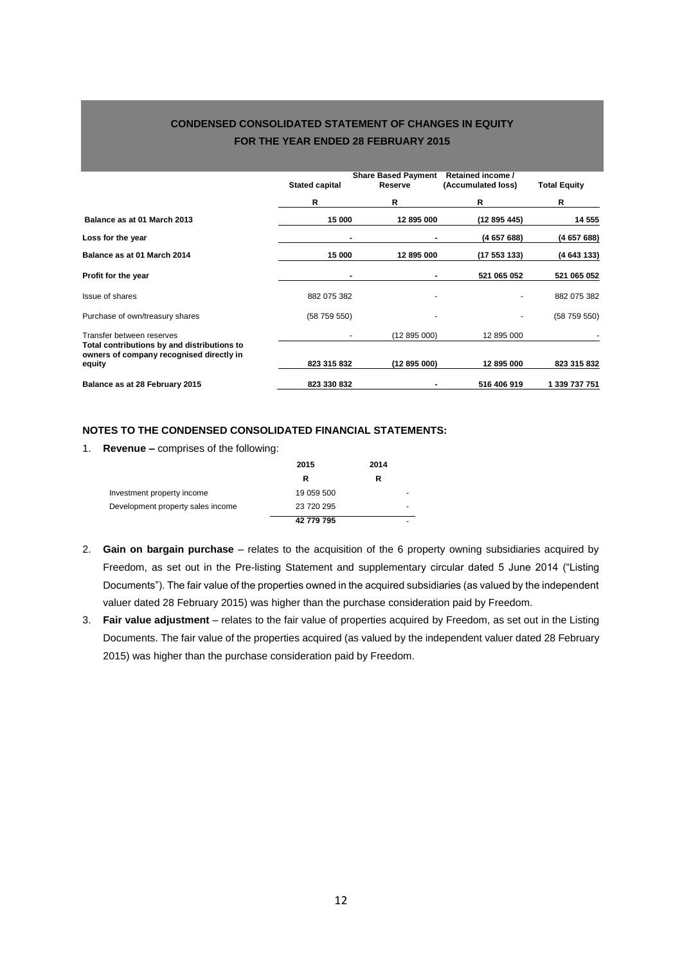# **CONDENSED CONSOLIDATED STATEMENT OF CHANGES IN EQUITY FOR THE YEAR ENDED 28 FEBRUARY 2015**

|                                                                          | <b>Stated capital</b> | <b>Share Based Payment</b><br>Reserve | Retained income /<br>(Accumulated loss) | <b>Total Equity</b> |
|--------------------------------------------------------------------------|-----------------------|---------------------------------------|-----------------------------------------|---------------------|
|                                                                          | R                     | R                                     | R                                       | R                   |
| Balance as at 01 March 2013                                              | 15 000                | 12 895 000                            | (12 895 445)                            | 14 555              |
| Loss for the year                                                        |                       | ٠                                     | (465768)                                | (465768)            |
| Balance as at 01 March 2014                                              | 15 000                | 12 895 000                            | (17553133)                              | (4 643 133)         |
| Profit for the year                                                      |                       | $\blacksquare$                        | 521 065 052                             | 521 065 052         |
| <b>Issue of shares</b>                                                   | 882 075 382           |                                       |                                         | 882 075 382         |
| Purchase of own/treasury shares                                          | (58759550)            |                                       |                                         | (58759550)          |
| Transfer between reserves<br>Total contributions by and distributions to |                       | (12 895 000)                          | 12 895 000                              |                     |
| owners of company recognised directly in<br>equity                       | 823 315 832           | (12 895 000)                          | 12 895 000                              | 823 315 832         |
| Balance as at 28 February 2015                                           | 823 330 832           |                                       | 516 406 919                             | 1 339 737 751       |

### **NOTES TO THE CONDENSED CONSOLIDATED FINANCIAL STATEMENTS:**

1. **Revenue –** comprises of the following:

|                                   | 2015       | 2014 |   |  |
|-----------------------------------|------------|------|---|--|
|                                   | R          | R    |   |  |
| Investment property income        | 19 059 500 |      | - |  |
| Development property sales income | 23 720 295 |      | - |  |
|                                   | 42 779 795 |      | - |  |

- 2. **Gain on bargain purchase** relates to the acquisition of the 6 property owning subsidiaries acquired by Freedom, as set out in the Pre-listing Statement and supplementary circular dated 5 June 2014 ("Listing Documents"). The fair value of the properties owned in the acquired subsidiaries (as valued by the independent valuer dated 28 February 2015) was higher than the purchase consideration paid by Freedom.
- 3. **Fair value adjustment** relates to the fair value of properties acquired by Freedom, as set out in the Listing Documents. The fair value of the properties acquired (as valued by the independent valuer dated 28 February 2015) was higher than the purchase consideration paid by Freedom.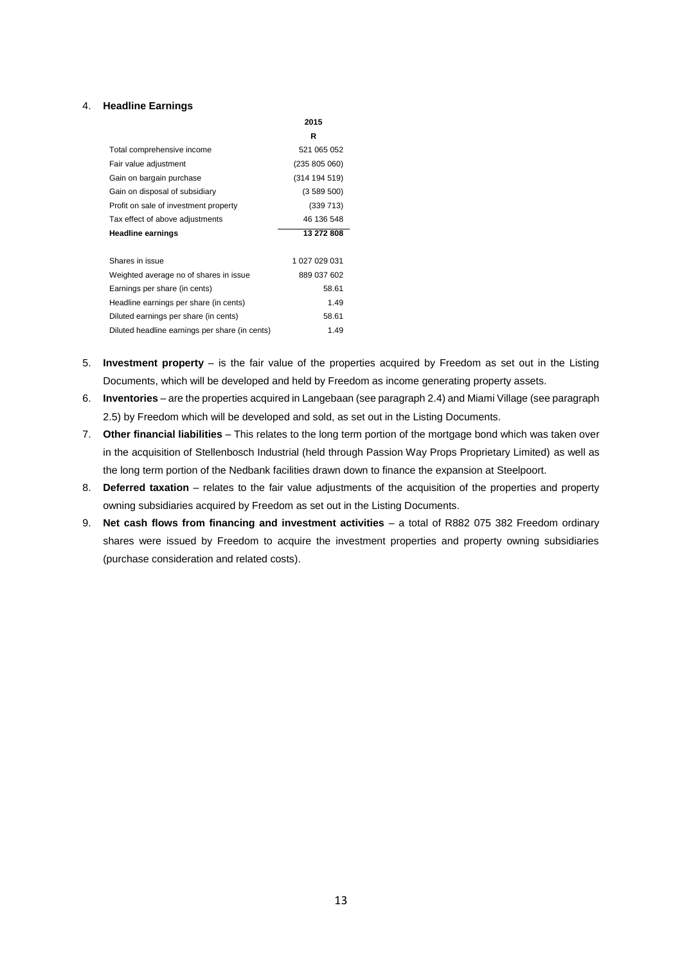#### 4. **Headline Earnings**

|                                                | 2015          |
|------------------------------------------------|---------------|
|                                                | R             |
| Total comprehensive income                     | 521 065 052   |
| Fair value adjustment                          | (235 805 060) |
| Gain on bargain purchase                       | (314 194 519) |
| Gain on disposal of subsidiary                 | (3589500)     |
| Profit on sale of investment property          | (339 713)     |
| Tax effect of above adjustments                | 46 136 548    |
| <b>Headline earnings</b>                       | 13 272 808    |
|                                                |               |
| Shares in issue                                | 1 027 029 031 |
| Weighted average no of shares in issue         | 889 037 602   |
| Earnings per share (in cents)                  | 58.61         |
| Headline earnings per share (in cents)         | 1.49          |
| Diluted earnings per share (in cents)          | 58.61         |
| Diluted headline earnings per share (in cents) | 1.49          |

- 5. **Investment property** is the fair value of the properties acquired by Freedom as set out in the Listing Documents, which will be developed and held by Freedom as income generating property assets.
- 6. **Inventories** are the properties acquired in Langebaan (see paragrap[h 2.4\)](#page-4-0) and Miami Village (see paragraph [2.5\)](#page-4-1) by Freedom which will be developed and sold, as set out in the Listing Documents.
- 7. **Other financial liabilities** This relates to the long term portion of the mortgage bond which was taken over in the acquisition of Stellenbosch Industrial (held through Passion Way Props Proprietary Limited) as well as the long term portion of the Nedbank facilities drawn down to finance the expansion at Steelpoort.
- 8. **Deferred taxation** relates to the fair value adjustments of the acquisition of the properties and property owning subsidiaries acquired by Freedom as set out in the Listing Documents.
- 9. **Net cash flows from financing and investment activities**  a total of R882 075 382 Freedom ordinary shares were issued by Freedom to acquire the investment properties and property owning subsidiaries (purchase consideration and related costs).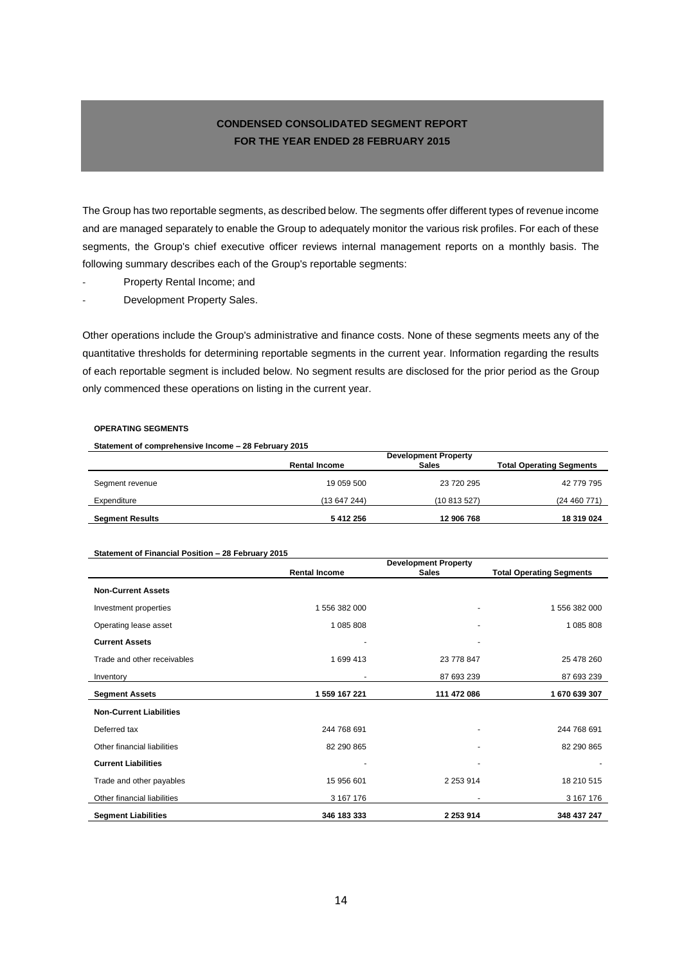# **CONDENSED CONSOLIDATED SEGMENT REPORT FOR THE YEAR ENDED 28 FEBRUARY 2015**

The Group has two reportable segments, as described below. The segments offer different types of revenue income and are managed separately to enable the Group to adequately monitor the various risk profiles. For each of these segments, the Group's chief executive officer reviews internal management reports on a monthly basis. The following summary describes each of the Group's reportable segments:

- Property Rental Income; and
- Development Property Sales.

Other operations include the Group's administrative and finance costs. None of these segments meets any of the quantitative thresholds for determining reportable segments in the current year. Information regarding the results of each reportable segment is included below. No segment results are disclosed for the prior period as the Group only commenced these operations on listing in the current year.

#### **OPERATING SEGMENTS**

**Statement of comprehensive Income – 28 February 2015**

|                        | <b>Development Property</b> |              |                                 |
|------------------------|-----------------------------|--------------|---------------------------------|
|                        | <b>Rental Income</b>        | <b>Sales</b> | <b>Total Operating Segments</b> |
| Segment revenue        | 19 059 500                  | 23 720 295   | 42 779 795                      |
| Expenditure            | (13 647 244)                | (10813527)   | (24460771)                      |
| <b>Segment Results</b> | 5412256                     | 12 906 768   | 18 319 024                      |

#### **Statement of Financial Position – 28 February 2015**

|                                | <b>Development Property</b> |                          |                                 |  |
|--------------------------------|-----------------------------|--------------------------|---------------------------------|--|
|                                | <b>Rental Income</b>        | <b>Sales</b>             | <b>Total Operating Segments</b> |  |
| <b>Non-Current Assets</b>      |                             |                          |                                 |  |
| Investment properties          | 1 556 382 000               |                          | 1 556 382 000                   |  |
| Operating lease asset          | 1 085 808                   | $\overline{\phantom{a}}$ | 1 085 808                       |  |
| <b>Current Assets</b>          |                             |                          |                                 |  |
| Trade and other receivables    | 1 699 413                   | 23 778 847               | 25 478 260                      |  |
| Inventory                      |                             | 87 693 239               | 87 693 239                      |  |
| <b>Segment Assets</b>          | 1 559 167 221               | 111 472 086              | 1670639307                      |  |
| <b>Non-Current Liabilities</b> |                             |                          |                                 |  |
| Deferred tax                   | 244 768 691                 | ٠                        | 244 768 691                     |  |
| Other financial liabilities    | 82 290 865                  |                          | 82 290 865                      |  |
| <b>Current Liabilities</b>     |                             | ٠                        |                                 |  |
| Trade and other payables       | 15 956 601                  | 2 2 5 3 9 1 4            | 18 210 515                      |  |
| Other financial liabilities    | 3 167 176                   | ۰                        | 3 167 176                       |  |
| <b>Segment Liabilities</b>     | 346 183 333                 | 2 253 914                | 348 437 247                     |  |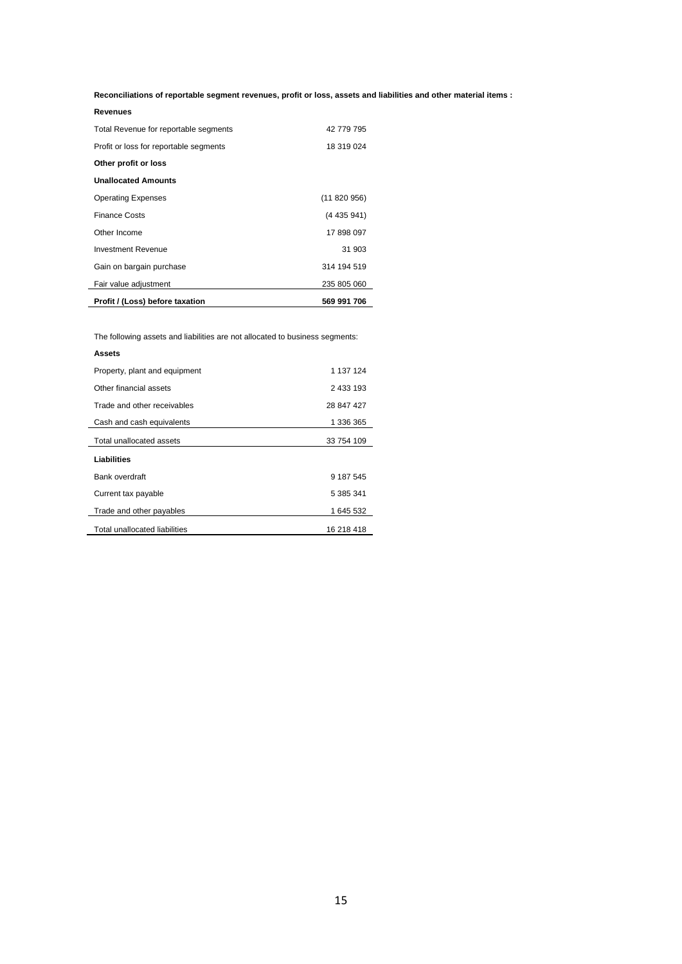**Reconciliations of reportable segment revenues, profit or loss, assets and liabilities and other material items :**

| Revenues                               |             |
|----------------------------------------|-------------|
| Total Revenue for reportable segments  | 42 779 795  |
| Profit or loss for reportable segments | 18 319 024  |
| Other profit or loss                   |             |
| <b>Unallocated Amounts</b>             |             |
| <b>Operating Expenses</b>              | (11820956)  |
| <b>Finance Costs</b>                   | (4 435 941) |
| Other Income                           | 17 898 097  |
| <b>Investment Revenue</b>              | 31 903      |
| Gain on bargain purchase               | 314 194 519 |
| Fair value adjustment                  | 235 805 060 |
| Profit / (Loss) before taxation        | 569 991 706 |

The following assets and liabilities are not allocated to business segments:

| Assets                        |            |
|-------------------------------|------------|
| Property, plant and equipment | 1 137 124  |
| Other financial assets        | 2 433 193  |
| Trade and other receivables   | 28 847 427 |
| Cash and cash equivalents     | 1 336 365  |
| Total unallocated assets      | 33 754 109 |
| Liabilities                   |            |
| Bank overdraft                | 9 187 545  |
| Current tax payable           | 5 385 341  |
| Trade and other payables      | 1 645 532  |
| Total unallocated liabilities | 16 218 418 |